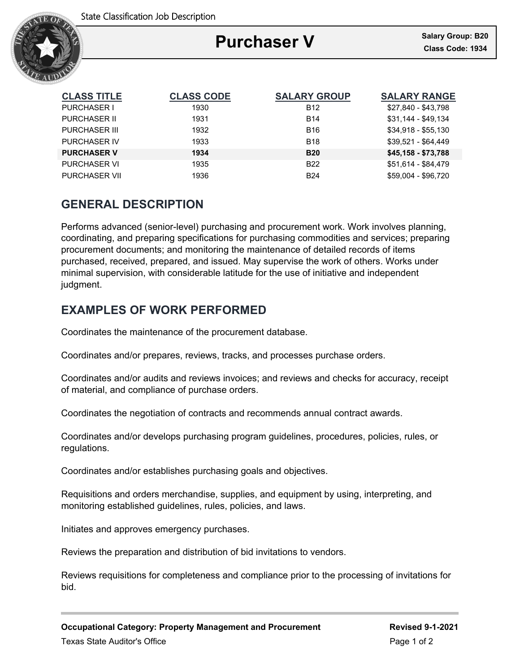

# **Purchaser V**

Ξ

| <b>CLASS TITLE</b>   | <b>CLASS CODE</b> | <b>SALARY GROUP</b> | <b>SALARY RANGE</b> |
|----------------------|-------------------|---------------------|---------------------|
| <b>PURCHASER I</b>   | 1930              | B <sub>12</sub>     | \$27,840 - \$43,798 |
| <b>PURCHASER II</b>  | 1931              | <b>B14</b>          | \$31,144 - \$49,134 |
| <b>PURCHASER III</b> | 1932              | <b>B16</b>          | $$34,918 - $55,130$ |
| PURCHASER IV         | 1933              | <b>B18</b>          | \$39,521 - \$64,449 |
| <b>PURCHASER V</b>   | 1934              | <b>B20</b>          | \$45,158 - \$73,788 |
| <b>PURCHASER VI</b>  | 1935              | <b>B22</b>          | \$51.614 - \$84.479 |
| <b>PURCHASER VII</b> | 1936              | <b>B24</b>          | \$59.004 - \$96.720 |

## **GENERAL DESCRIPTION**

Performs advanced (senior-level) purchasing and procurement work. Work involves planning, coordinating, and preparing specifications for purchasing commodities and services; preparing procurement documents; and monitoring the maintenance of detailed records of items purchased, received, prepared, and issued. May supervise the work of others. Works under minimal supervision, with considerable latitude for the use of initiative and independent judgment.

### **EXAMPLES OF WORK PERFORMED**

Coordinates the maintenance of the procurement database.

Coordinates and/or prepares, reviews, tracks, and processes purchase orders.

Coordinates and/or audits and reviews invoices; and reviews and checks for accuracy, receipt of material, and compliance of purchase orders.

Coordinates the negotiation of contracts and recommends annual contract awards.

Coordinates and/or develops purchasing program guidelines, procedures, policies, rules, or regulations.

Coordinates and/or establishes purchasing goals and objectives.

Requisitions and orders merchandise, supplies, and equipment by using, interpreting, and monitoring established guidelines, rules, policies, and laws.

Initiates and approves emergency purchases.

Reviews the preparation and distribution of bid invitations to vendors.

Reviews requisitions for completeness and compliance prior to the processing of invitations for bid.